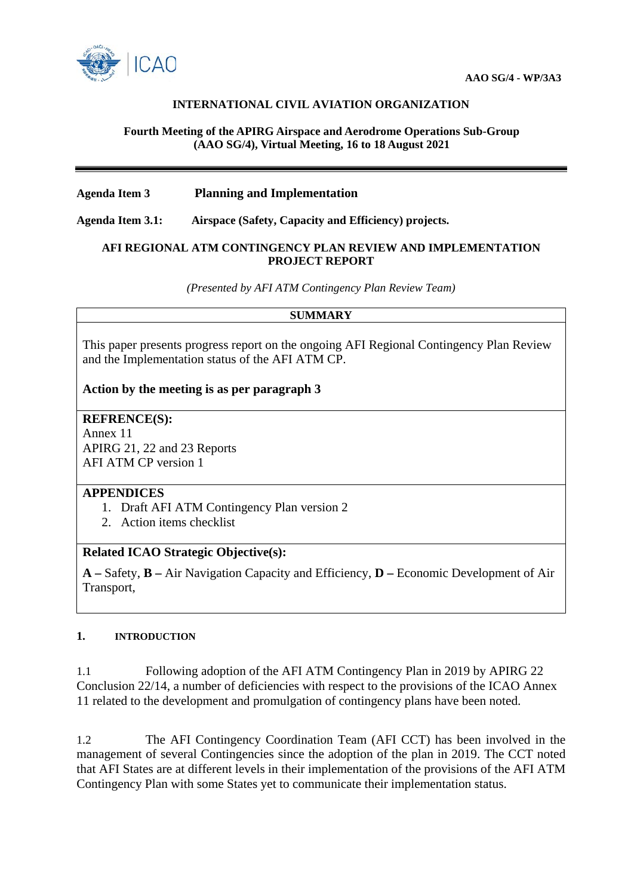

## **INTERNATIONAL CIVIL AVIATION ORGANIZATION**

### **Fourth Meeting of the APIRG Airspace and Aerodrome Operations Sub-Group (AAO SG/4), Virtual Meeting, 16 to 18 August 2021**

## **Agenda Item 3 Planning and Implementation**

**Agenda Item 3.1: Airspace (Safety, Capacity and Efficiency) projects.**

#### **AFI REGIONAL ATM CONTINGENCY PLAN REVIEW AND IMPLEMENTATION PROJECT REPORT**

*(Presented by AFI ATM Contingency Plan Review Team)*

#### **SUMMARY**

This paper presents progress report on the ongoing AFI Regional Contingency Plan Review and the Implementation status of the AFI ATM CP.

**Action by the meeting is as per paragraph 3**

**REFRENCE(S):** Annex 11

APIRG 21, 22 and 23 Reports AFI ATM CP version 1

## **APPENDICES**

- 1. Draft AFI ATM Contingency Plan version 2
- 2. Action items checklist

## **Related ICAO Strategic Objective(s):**

**A –** Safety, **B –** Air Navigation Capacity and Efficiency, **D –** Economic Development of Air Transport,

#### **1. INTRODUCTION**

1.1 Following adoption of the AFI ATM Contingency Plan in 2019 by APIRG 22 Conclusion 22/14, a number of deficiencies with respect to the provisions of the ICAO Annex 11 related to the development and promulgation of contingency plans have been noted.

1.2 The AFI Contingency Coordination Team (AFI CCT) has been involved in the management of several Contingencies since the adoption of the plan in 2019. The CCT noted that AFI States are at different levels in their implementation of the provisions of the AFI ATM Contingency Plan with some States yet to communicate their implementation status.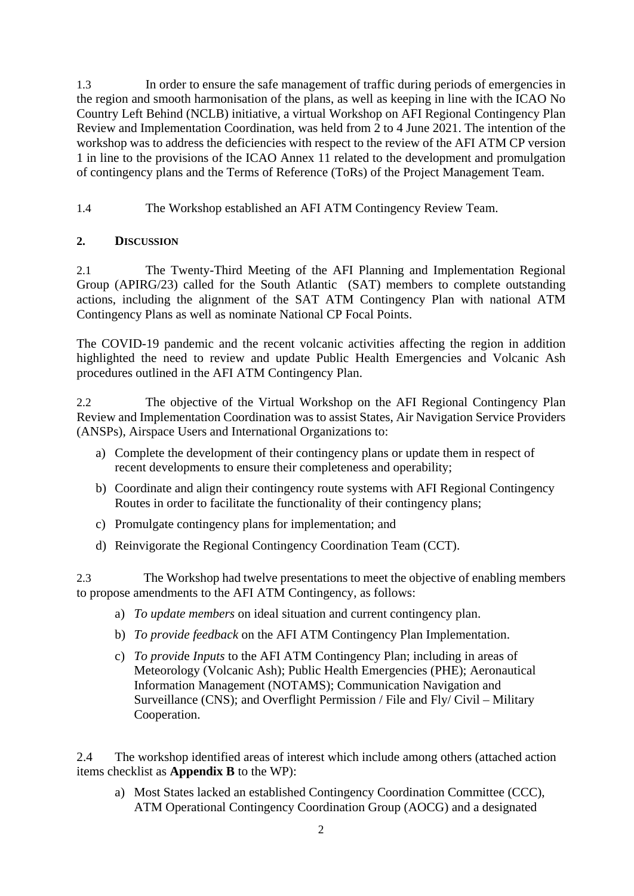1.3 In order to ensure the safe management of traffic during periods of emergencies in the region and smooth harmonisation of the plans, as well as keeping in line with the ICAO No Country Left Behind (NCLB) initiative, a virtual Workshop on AFI Regional Contingency Plan Review and Implementation Coordination, was held from 2 to 4 June 2021. The intention of the workshop was to address the deficiencies with respect to the review of the AFI ATM CP version 1 in line to the provisions of the ICAO Annex 11 related to the development and promulgation of contingency plans and the Terms of Reference (ToRs) of the Project Management Team.

1.4 The Workshop established an AFI ATM Contingency Review Team.

# **2. DISCUSSION**

2.1 The Twenty-Third Meeting of the AFI Planning and Implementation Regional Group (APIRG/23) called for the South Atlantic (SAT) members to complete outstanding actions, including the alignment of the SAT ATM Contingency Plan with national ATM Contingency Plans as well as nominate National CP Focal Points.

The COVID-19 pandemic and the recent volcanic activities affecting the region in addition highlighted the need to review and update Public Health Emergencies and Volcanic Ash procedures outlined in the AFI ATM Contingency Plan.

2.2 The objective of the Virtual Workshop on the AFI Regional Contingency Plan Review and Implementation Coordination was to assist States, Air Navigation Service Providers (ANSPs), Airspace Users and International Organizations to:

- a) Complete the development of their contingency plans or update them in respect of recent developments to ensure their completeness and operability;
- b) Coordinate and align their contingency route systems with AFI Regional Contingency Routes in order to facilitate the functionality of their contingency plans;
- c) Promulgate contingency plans for implementation; and
- d) Reinvigorate the Regional Contingency Coordination Team (CCT).

2.3 The Workshop had twelve presentations to meet the objective of enabling members to propose amendments to the AFI ATM Contingency, as follows:

- a) *To update members* on ideal situation and current contingency plan.
- b) *To provide feedback* on the AFI ATM Contingency Plan Implementation.
- c) *To provid*e *Inputs* to the AFI ATM Contingency Plan; including in areas of Meteorology (Volcanic Ash); Public Health Emergencies (PHE); Aeronautical Information Management (NOTAMS); Communication Navigation and Surveillance (CNS); and Overflight Permission / File and Fly/ Civil – Military Cooperation.

2.4 The workshop identified areas of interest which include among others (attached action items checklist as **Appendix B** to the WP):

a) Most States lacked an established Contingency Coordination Committee (CCC), ATM Operational Contingency Coordination Group (AOCG) and a designated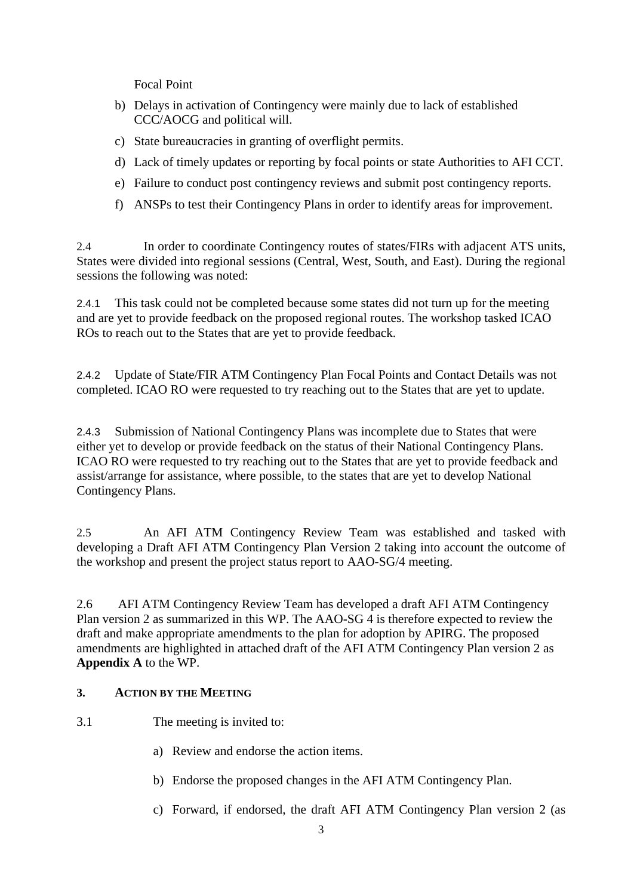Focal Point

- b) Delays in activation of Contingency were mainly due to lack of established CCC/AOCG and political will.
- c) State bureaucracies in granting of overflight permits.
- d) Lack of timely updates or reporting by focal points or state Authorities to AFI CCT.
- e) Failure to conduct post contingency reviews and submit post contingency reports.
- f) ANSPs to test their Contingency Plans in order to identify areas for improvement.

2.4 In order to coordinate Contingency routes of states/FIRs with adjacent ATS units, States were divided into regional sessions (Central, West, South, and East). During the regional sessions the following was noted:

2.4.1 This task could not be completed because some states did not turn up for the meeting and are yet to provide feedback on the proposed regional routes. The workshop tasked ICAO ROs to reach out to the States that are yet to provide feedback.

2.4.2 Update of State/FIR ATM Contingency Plan Focal Points and Contact Details was not completed. ICAO RO were requested to try reaching out to the States that are yet to update.

2.4.3 Submission of National Contingency Plans was incomplete due to States that were either yet to develop or provide feedback on the status of their National Contingency Plans. ICAO RO were requested to try reaching out to the States that are yet to provide feedback and assist/arrange for assistance, where possible, to the states that are yet to develop National Contingency Plans.

2.5 An AFI ATM Contingency Review Team was established and tasked with developing a Draft AFI ATM Contingency Plan Version 2 taking into account the outcome of the workshop and present the project status report to AAO-SG/4 meeting.

2.6 AFI ATM Contingency Review Team has developed a draft AFI ATM Contingency Plan version 2 as summarized in this WP. The AAO-SG 4 is therefore expected to review the draft and make appropriate amendments to the plan for adoption by APIRG. The proposed amendments are highlighted in attached draft of the AFI ATM Contingency Plan version 2 as **Appendix A** to the WP.

# **3. ACTION BY THE MEETING**

- 3.1 The meeting is invited to:
	- a) Review and endorse the action items.
	- b) Endorse the proposed changes in the AFI ATM Contingency Plan.
	- c) Forward, if endorsed, the draft AFI ATM Contingency Plan version 2 (as